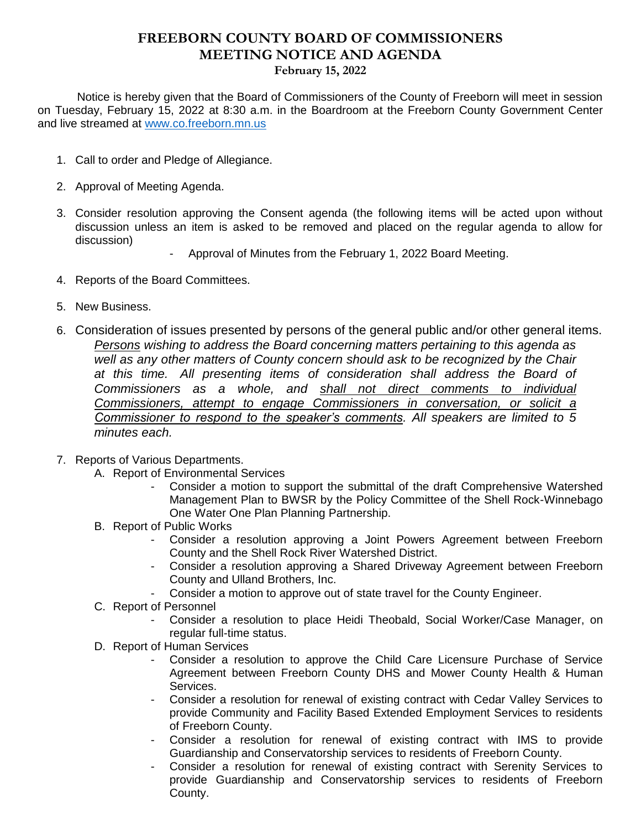## **FREEBORN COUNTY BOARD OF COMMISSIONERS MEETING NOTICE AND AGENDA February 15, 2022**

 Notice is hereby given that the Board of Commissioners of the County of Freeborn will meet in session on Tuesday, February 15, 2022 at 8:30 a.m. in the Boardroom at the Freeborn County Government Center and live streamed at [www.co.freeborn.mn.us](http://www.co.freeborn.mn.us/) 

- 1. Call to order and Pledge of Allegiance.
- 2. Approval of Meeting Agenda.
- 3. Consider resolution approving the Consent agenda (the following items will be acted upon without discussion unless an item is asked to be removed and placed on the regular agenda to allow for discussion)
	- Approval of Minutes from the February 1, 2022 Board Meeting.
- 4. Reports of the Board Committees.
- 5. New Business.
- 6. Consideration of issues presented by persons of the general public and/or other general items. *Persons wishing to address the Board concerning matters pertaining to this agenda as well as any other matters of County concern should ask to be recognized by the Chair at this time. All presenting items of consideration shall address the Board of Commissioners as a whole, and shall not direct comments to individual Commissioners, attempt to engage Commissioners in conversation, or solicit a Commissioner to respond to the speaker's comments. All speakers are limited to 5 minutes each.*
- 7. Reports of Various Departments.
	- A. Report of Environmental Services
		- Consider a motion to support the submittal of the draft Comprehensive Watershed Management Plan to BWSR by the Policy Committee of the Shell Rock-Winnebago One Water One Plan Planning Partnership.
	- B. Report of Public Works
		- Consider a resolution approving a Joint Powers Agreement between Freeborn County and the Shell Rock River Watershed District.
		- Consider a resolution approving a Shared Driveway Agreement between Freeborn County and Ulland Brothers, Inc.
		- Consider a motion to approve out of state travel for the County Engineer.
	- C. Report of Personnel
		- Consider a resolution to place Heidi Theobald, Social Worker/Case Manager, on regular full-time status.
	- D. Report of Human Services
		- Consider a resolution to approve the Child Care Licensure Purchase of Service Agreement between Freeborn County DHS and Mower County Health & Human Services.
		- Consider a resolution for renewal of existing contract with Cedar Valley Services to provide Community and Facility Based Extended Employment Services to residents of Freeborn County.
		- Consider a resolution for renewal of existing contract with IMS to provide Guardianship and Conservatorship services to residents of Freeborn County.
		- Consider a resolution for renewal of existing contract with Serenity Services to provide Guardianship and Conservatorship services to residents of Freeborn County.